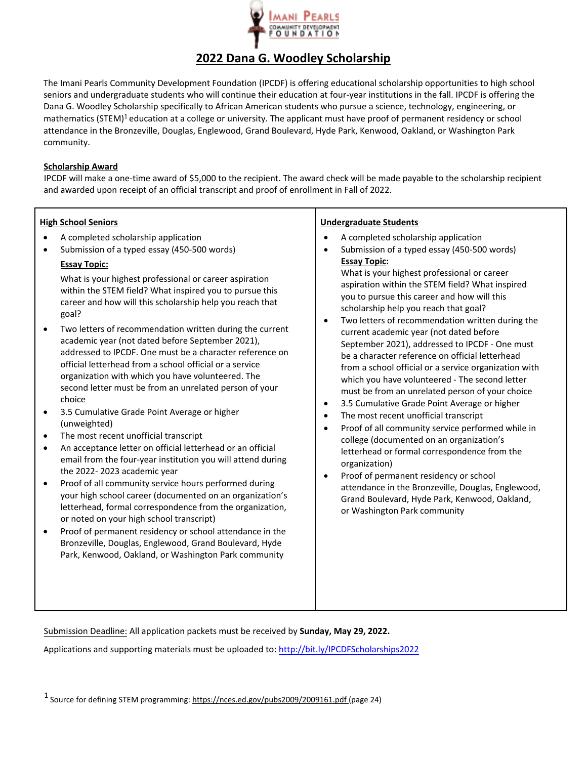

# **2022 Dana G. Woodley Scholarship**

The Imani Pearls Community Development Foundation (IPCDF) is offering educational scholarship opportunities to high school seniors and undergraduate students who will continue their education at four-year institutions in the fall. IPCDF is offering the Dana G. Woodley Scholarship specifically to African American students who pursue a science, technology, engineering, or mathematics (STEM)<sup>1</sup> education at a college or university. The applicant must have proof of permanent residency or school attendance in the Bronzeville, Douglas, Englewood, Grand Boulevard, Hyde Park, Kenwood, Oakland, or Washington Park community.

## **Scholarship Award**

IPCDF will make a one-time award of \$5,000 to the recipient. The award check will be made payable to the scholarship recipient and awarded upon receipt of an official transcript and proof of enrollment in Fall of 2022.

#### **High School Seniors**

- A completed scholarship application
- Submission of a typed essay (450-500 words)

## **Essay Topic:**

What is your highest professional or career aspiration within the STEM field? What inspired you to pursue this career and how will this scholarship help you reach that goal?

- Two letters of recommendation written during the current academic year (not dated before September 2021), addressed to IPCDF. One must be a character reference on official letterhead from a school official or a service organization with which you have volunteered. The second letter must be from an unrelated person of your choice
- 3.5 Cumulative Grade Point Average or higher (unweighted)
- The most recent unofficial transcript
- An acceptance letter on official letterhead or an official email from the four-year institution you will attend during the 2022- 2023 academic year
- Proof of all community service hours performed during your high school career (documented on an organization's letterhead, formal correspondence from the organization, or noted on your high school transcript)
- Proof of permanent residency or school attendance in the Bronzeville, Douglas, Englewood, Grand Boulevard, Hyde Park, Kenwood, Oakland, or Washington Park community

#### **Undergraduate Students**

- A completed scholarship application
- Submission of a typed essay (450-500 words) **Essay Topic:** What is your highest professional or career

aspiration within the STEM field? What inspired you to pursue this career and how will this scholarship help you reach that goal?

- Two letters of recommendation written during the current academic year (not dated before September 2021), addressed to IPCDF - One must be a character reference on official letterhead from a school official or a service organization with which you have volunteered - The second letter must be from an unrelated person of your choice
- 3.5 Cumulative Grade Point Average or higher
- The most recent unofficial transcript
- Proof of all community service performed while in college (documented on an organization's letterhead or formal correspondence from the organization)
- Proof of permanent residency or school attendance in the Bronzeville, Douglas, Englewood, Grand Boulevard, Hyde Park, Kenwood, Oakland, or Washington Park community

Submission Deadline: All application packets must be received by **Sunday, May 29, 2022.** 

Applications and supporting materials must be uploaded to: http://bit.ly/IPCDFScholarships2022

<sup>1</sup> Source for defining STEM programming: https://nces.ed.gov/pubs2009/2009161.pdf (page 24)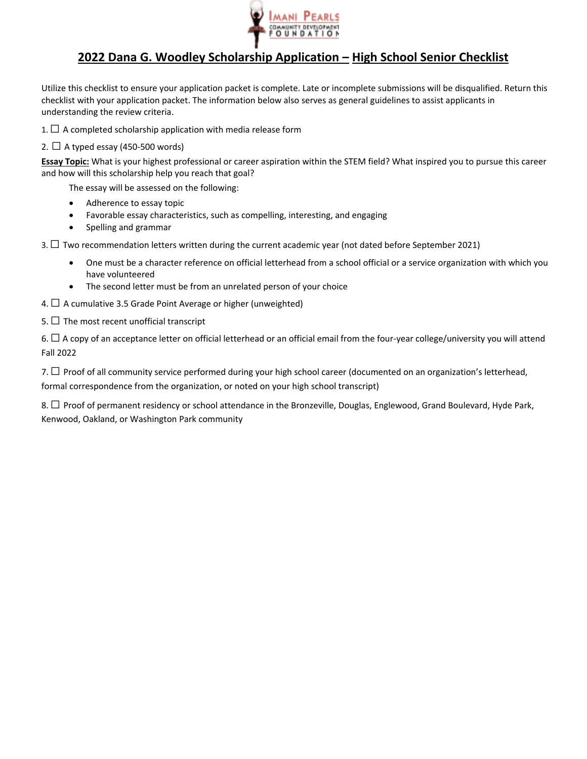

# **2022 Dana G. Woodley Scholarship Application – High School Senior Checklist**

Utilize this checklist to ensure your application packet is complete. Late or incomplete submissions will be disqualified. Return this checklist with your application packet. The information below also serves as general guidelines to assist applicants in understanding the review criteria.

1.  $\Box$  A completed scholarship application with media release form

## 2.  $\Box$  A typed essay (450-500 words)

**Essay Topic:** What is your highest professional or career aspiration within the STEM field? What inspired you to pursue this career and how will this scholarship help you reach that goal?

The essay will be assessed on the following:

- Adherence to essay topic
- Favorable essay characteristics, such as compelling, interesting, and engaging
- Spelling and grammar

3.  $\Box$  Two recommendation letters written during the current academic year (not dated before September 2021)

- One must be a character reference on official letterhead from a school official or a service organization with which you have volunteered
- The second letter must be from an unrelated person of your choice
- 4.  $\Box$  A cumulative 3.5 Grade Point Average or higher (unweighted)
- 5.  $\Box$  The most recent unofficial transcript

6.  $\Box$  A copy of an acceptance letter on official letterhead or an official email from the four-year college/university you will attend Fall 2022

7.  $\Box$  Proof of all community service performed during your high school career (documented on an organization's letterhead, formal correspondence from the organization, or noted on your high school transcript)

8. □ Proof of permanent residency or school attendance in the Bronzeville, Douglas, Englewood, Grand Boulevard, Hyde Park, Kenwood, Oakland, or Washington Park community